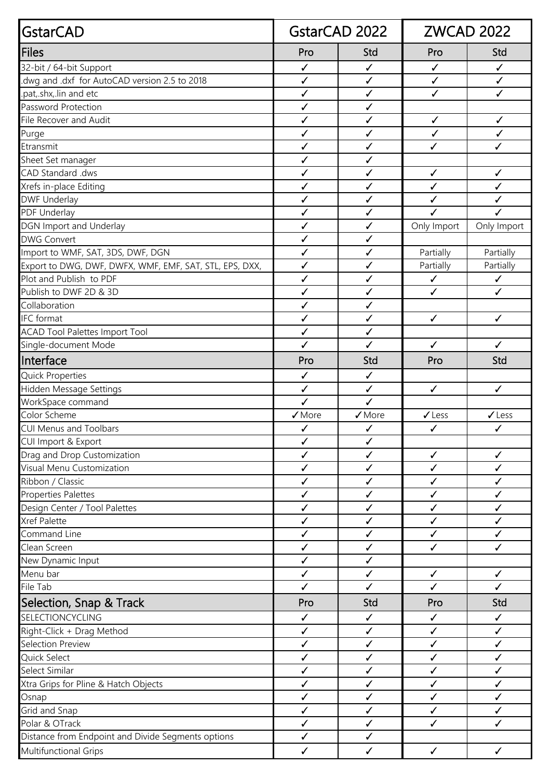| GstarCAD                                                | GstarCAD 2022                |                              | <b>ZWCAD 2022</b> |                     |
|---------------------------------------------------------|------------------------------|------------------------------|-------------------|---------------------|
| Files                                                   | Pro                          | Std                          | Pro               | Std                 |
| 32-bit / 64-bit Support                                 | ✓                            | $\checkmark$                 | $\checkmark$      | $\checkmark$        |
| dwg and .dxf for AutoCAD version 2.5 to 2018.           | ✓                            | ✓                            | $\checkmark$      | $\checkmark$        |
| .pat,.shx,.lin and etc                                  | $\checkmark$                 | $\checkmark$                 | $\checkmark$      | $\checkmark$        |
| Password Protection                                     | $\checkmark$                 | $\checkmark$                 |                   |                     |
| File Recover and Audit                                  | $\checkmark$                 | $\checkmark$                 | $\checkmark$      | $\checkmark$        |
| Purge                                                   | ✓                            | $\checkmark$                 | $\checkmark$      | $\checkmark$        |
| Etransmit                                               | ✓                            | $\checkmark$                 | $\checkmark$      | ✓                   |
| Sheet Set manager                                       | ✓                            | $\checkmark$                 |                   |                     |
| CAD Standard .dws                                       | ✓                            | $\checkmark$                 | $\checkmark$      | $\checkmark$        |
| Xrefs in-place Editing                                  | ✓                            | $\checkmark$                 | $\checkmark$      | ✓                   |
| <b>DWF Underlay</b>                                     | ✓                            | $\checkmark$                 | $\checkmark$      | ✓                   |
| PDF Underlay                                            | $\checkmark$                 | $\checkmark$                 | $\checkmark$      | $\checkmark$        |
| DGN Import and Underlay                                 | ✓                            | $\checkmark$                 | Only Import       | Only Import         |
| <b>DWG Convert</b>                                      | $\checkmark$                 | $\checkmark$                 |                   |                     |
| Import to WMF, SAT, 3DS, DWF, DGN                       | ✓                            | $\checkmark$                 | Partially         | Partially           |
| Export to DWG, DWF, DWFX, WMF, EMF, SAT, STL, EPS, DXX, | $\checkmark$                 | $\checkmark$                 | Partially         | Partially           |
| Plot and Publish to PDF                                 | $\checkmark$                 | $\checkmark$                 | $\checkmark$      | ✓                   |
| Publish to DWF 2D & 3D                                  | $\checkmark$                 | $\checkmark$                 | $\checkmark$      | $\checkmark$        |
| Collaboration                                           | ✓                            | $\checkmark$                 |                   |                     |
| <b>IFC</b> format                                       | $\checkmark$                 | $\checkmark$                 | $\checkmark$      | $\checkmark$        |
| <b>ACAD Tool Palettes Import Tool</b>                   | $\checkmark$                 | $\checkmark$                 |                   |                     |
| Single-document Mode                                    | ✓                            | $\checkmark$                 | $\checkmark$      | $\checkmark$        |
| Interface                                               | Pro                          | Std                          | Pro               | Std                 |
|                                                         |                              |                              |                   |                     |
| <b>Quick Properties</b>                                 | $\checkmark$                 | $\checkmark$                 |                   |                     |
| Hidden Message Settings                                 | $\checkmark$                 | $\checkmark$                 | $\checkmark$      | $\checkmark$        |
| WorkSpace command                                       | ✓                            | ✓                            |                   |                     |
| Color Scheme                                            | $\sqrt{\text{More}}$         | $\sqrt{}$ More               | $\checkmark$ Less | $\checkmark$ Less   |
| CUI Menus and Toolbars                                  | $\checkmark$                 | $\checkmark$                 | $\checkmark$      | $\checkmark$        |
| CUI Import & Export                                     | $\checkmark$                 | ✓                            |                   |                     |
| Drag and Drop Customization                             | ✓                            | $\checkmark$                 | $\checkmark$      | $\checkmark$        |
| Visual Menu Customization                               | $\checkmark$                 | $\checkmark$                 | $\checkmark$      | $\checkmark$        |
| Ribbon / Classic                                        | $\checkmark$                 | $\checkmark$                 | $\checkmark$      | ✓                   |
| <b>Properties Palettes</b>                              | ✓                            | $\checkmark$                 | $\checkmark$      | ✓                   |
| Design Center / Tool Palettes                           | ✓                            | ✓                            | $\checkmark$      | ✓                   |
| Xref Palette                                            | $\checkmark$                 | $\checkmark$                 | $\checkmark$      | $\checkmark$        |
| Command Line                                            | $\checkmark$                 | $\checkmark$                 | $\checkmark$      | $\checkmark$        |
| Clean Screen                                            | $\checkmark$                 | $\checkmark$                 | $\checkmark$      | $\checkmark$        |
| New Dynamic Input                                       | ✓                            | $\checkmark$                 |                   |                     |
| Menu bar<br>File Tab                                    | $\checkmark$<br>$\checkmark$ | $\checkmark$<br>$\checkmark$ | $\checkmark$      | $\checkmark$        |
|                                                         |                              | Std                          | $\checkmark$      | $\checkmark$<br>Std |
| Selection, Snap & Track                                 | Pro                          |                              | Pro               |                     |
| SELECTIONCYCLING                                        | $\checkmark$                 | $\checkmark$                 | $\checkmark$      | ✓                   |
| Right-Click + Drag Method                               | ✓                            | $\checkmark$                 | $\checkmark$      | $\checkmark$        |
| Selection Preview                                       | ✓                            | $\checkmark$                 | $\checkmark$      | $\checkmark$        |
| Quick Select                                            | $\checkmark$                 | $\checkmark$                 | $\checkmark$      | $\checkmark$        |
| Select Similar                                          | $\checkmark$                 | $\checkmark$                 | ✓                 | ✓                   |
| Xtra Grips for Pline & Hatch Objects                    | ✓                            | $\checkmark$                 | $\checkmark$      | ✓                   |
| Osnap                                                   | ✓                            | ✓                            | ✓                 | ✓                   |
| Grid and Snap                                           | ✓                            | $\checkmark$                 | $\checkmark$      | ✓                   |
| Polar & OTrack                                          | $\checkmark$                 | $\checkmark$                 | $\checkmark$      | $\checkmark$        |
| Distance from Endpoint and Divide Segments options      | $\checkmark$                 | $\checkmark$                 |                   |                     |
| <b>Multifunctional Grips</b>                            | $\checkmark$                 | $\checkmark$                 | $\checkmark$      | ✓                   |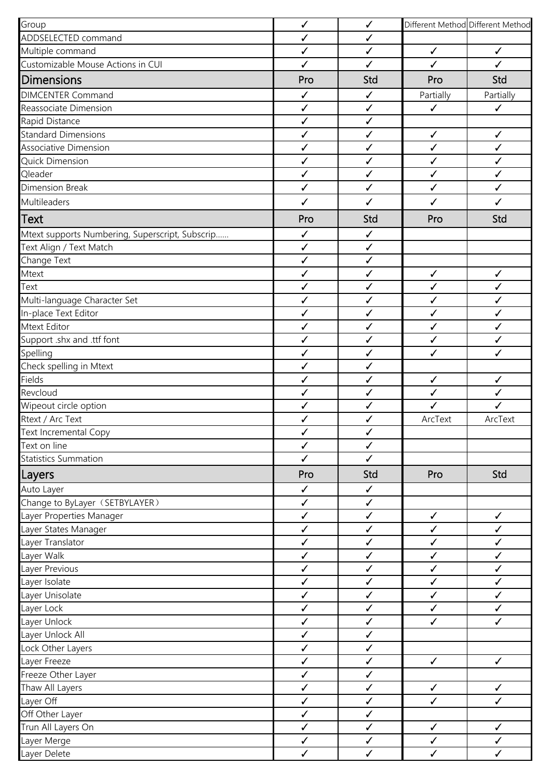| Group                                           | $\checkmark$                 | $\checkmark$                 |              | Different Method Different Method |
|-------------------------------------------------|------------------------------|------------------------------|--------------|-----------------------------------|
| ADDSELECTED command                             | ✓                            | $\checkmark$                 |              |                                   |
| Multiple command                                | $\checkmark$                 | $\checkmark$                 | $\checkmark$ | $\checkmark$                      |
| Customizable Mouse Actions in CUI               | $\checkmark$                 | $\checkmark$                 | $\checkmark$ | $\checkmark$                      |
| <b>Dimensions</b>                               | Pro                          | Std                          | Pro          | Std                               |
| <b>DIMCENTER Command</b>                        | $\checkmark$                 | $\checkmark$                 | Partially    | Partially                         |
| Reassociate Dimension                           | ✓                            | $\checkmark$                 | $\checkmark$ | $\checkmark$                      |
| Rapid Distance                                  | $\checkmark$                 | $\checkmark$                 |              |                                   |
| <b>Standard Dimensions</b>                      | $\checkmark$                 | $\checkmark$                 | $\checkmark$ | $\checkmark$                      |
| Associative Dimension                           | ✓                            | $\checkmark$                 | $\checkmark$ | $\checkmark$                      |
| Quick Dimension                                 | $\checkmark$                 | $\checkmark$                 | $\checkmark$ | $\checkmark$                      |
| Qleader                                         | $\checkmark$                 | $\checkmark$                 | $\checkmark$ | $\checkmark$                      |
| Dimension Break                                 | ✓                            | $\checkmark$                 | $\checkmark$ | $\checkmark$                      |
| Multileaders                                    | $\checkmark$                 | $\checkmark$                 | $\checkmark$ | $\checkmark$                      |
| <b>Text</b>                                     | Pro                          | Std                          | Pro          | Std                               |
|                                                 |                              |                              |              |                                   |
| Mtext supports Numbering, Superscript, Subscrip | $\checkmark$                 | $\checkmark$<br>$\checkmark$ |              |                                   |
| Text Align / Text Match                         | $\checkmark$<br>$\checkmark$ | $\checkmark$                 |              |                                   |
| Change Text                                     |                              |                              |              |                                   |
| Mtext                                           | ✓                            | $\checkmark$                 | $\checkmark$ | $\checkmark$                      |
| Text                                            | $\checkmark$                 | $\checkmark$                 | $\checkmark$ | $\checkmark$                      |
| Multi-language Character Set                    | $\checkmark$                 | $\checkmark$                 | $\checkmark$ | $\checkmark$                      |
| In-place Text Editor                            | ✓                            | $\checkmark$                 | $\checkmark$ | $\checkmark$                      |
| Mtext Editor                                    | $\checkmark$                 | $\checkmark$                 | $\checkmark$ | $\checkmark$                      |
| Support .shx and .ttf font                      | $\checkmark$                 | $\checkmark$                 | $\checkmark$ | $\checkmark$                      |
| Spelling                                        | $\checkmark$                 | $\checkmark$                 | ✓            | $\checkmark$                      |
| Check spelling in Mtext                         | $\checkmark$                 | $\checkmark$                 |              |                                   |
| Fields                                          | ✓                            | $\checkmark$                 | $\checkmark$ | $\checkmark$                      |
| Revcloud                                        | ✓                            | $\checkmark$                 | $\checkmark$ | $\checkmark$                      |
| Wipeout circle option                           | $\checkmark$                 | $\checkmark$                 | $\checkmark$ | $\checkmark$                      |
| Rtext / Arc Text                                | ✓                            | $\checkmark$                 | ArcText      | ArcText                           |
| Text Incremental Copy                           | $\checkmark$                 | $\checkmark$                 |              |                                   |
| Text on line                                    | $\checkmark$                 | $\checkmark$                 |              |                                   |
| <b>Statistics Summation</b>                     | $\checkmark$                 | $\checkmark$                 |              |                                   |
| Layers                                          | Pro                          | Std                          | Pro          | Std                               |
| Auto Layer                                      | $\checkmark$                 | $\checkmark$                 |              |                                   |
| Change to ByLayer (SETBYLAYER)                  | $\checkmark$                 | $\checkmark$                 |              |                                   |
| Layer Properties Manager                        | $\checkmark$                 | $\checkmark$                 | $\checkmark$ | $\checkmark$                      |
| Layer States Manager                            | ✓                            | $\checkmark$                 | $\checkmark$ | $\checkmark$                      |
| Layer Translator                                | $\checkmark$                 | $\checkmark$                 | $\checkmark$ | $\checkmark$                      |
| Layer Walk                                      | $\checkmark$                 | $\checkmark$                 | $\checkmark$ | $\checkmark$                      |
| Layer Previous                                  | $\checkmark$                 | $\checkmark$                 | $\checkmark$ | $\checkmark$                      |
| Layer Isolate                                   | $\checkmark$                 | $\checkmark$                 | $\checkmark$ | $\checkmark$                      |
| Layer Unisolate                                 | $\checkmark$                 | $\checkmark$                 | $\checkmark$ | $\checkmark$                      |
| Layer Lock                                      | $\checkmark$                 | $\checkmark$                 | $\checkmark$ | $\checkmark$                      |
| Layer Unlock                                    | $\checkmark$                 | $\checkmark$                 | $\checkmark$ | $\checkmark$                      |
| Layer Unlock All                                | ✓                            | $\checkmark$                 |              |                                   |
| Lock Other Layers                               | $\checkmark$                 | $\checkmark$                 |              |                                   |
| Layer Freeze                                    | $\checkmark$                 | $\checkmark$                 | $\checkmark$ | $\checkmark$                      |
| Freeze Other Layer                              | ✓                            | $\checkmark$                 |              |                                   |
| Thaw All Layers                                 | ✓                            | $\checkmark$                 | $\checkmark$ | $\checkmark$                      |
| Layer Off                                       | ✓                            | $\checkmark$                 | $\checkmark$ | $\checkmark$                      |
| Off Other Layer                                 | $\checkmark$                 | $\checkmark$                 |              |                                   |
| Trun All Layers On                              | $\checkmark$                 | $\checkmark$                 | $\checkmark$ | $\checkmark$                      |
| Layer Merge                                     | $\checkmark$                 | $\checkmark$                 | $\checkmark$ | $\checkmark$                      |
| Layer Delete                                    | $\checkmark$                 | $\checkmark$                 | $\checkmark$ | $\checkmark$                      |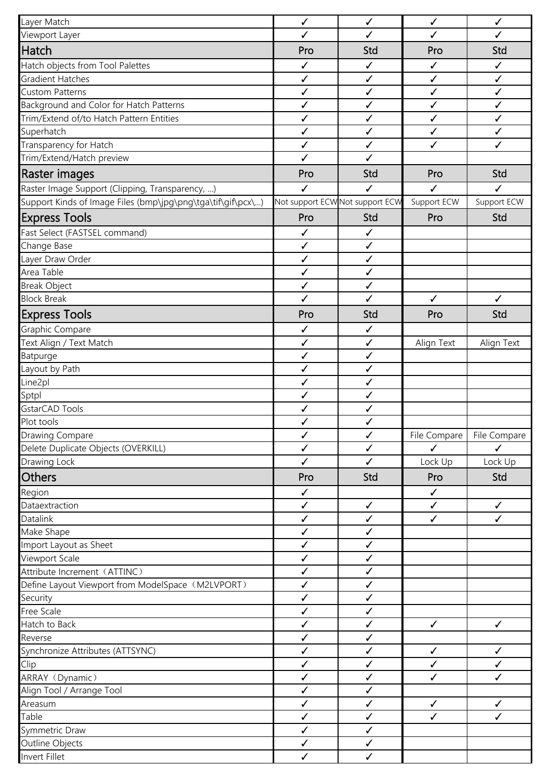| Layer Match                                                   | $\checkmark$                 | ✓                               | $\checkmark$      | $\checkmark$ |
|---------------------------------------------------------------|------------------------------|---------------------------------|-------------------|--------------|
| Viewport Layer                                                | $\checkmark$                 | $\checkmark$                    | $\checkmark$      | ✓            |
| <b>Hatch</b>                                                  | Pro                          | Std                             | Pro               | Std          |
| Hatch objects from Tool Palettes                              | ✓                            | $\checkmark$                    | $\checkmark$      | $\checkmark$ |
| <b>Gradient Hatches</b>                                       | $\checkmark$                 | $\checkmark$                    | $\checkmark$      | $\checkmark$ |
| <b>Custom Patterns</b>                                        | $\checkmark$                 | $\checkmark$                    | $\checkmark$      | $\checkmark$ |
| Background and Color for Hatch Patterns                       | $\checkmark$                 | $\checkmark$                    | $\checkmark$      | ✓            |
| Trim/Extend of/to Hatch Pattern Entities                      | $\checkmark$                 | $\checkmark$                    | $\checkmark$      | $\checkmark$ |
| Superhatch                                                    | $\checkmark$                 | $\checkmark$                    | $\checkmark$      | $\checkmark$ |
| Transparency for Hatch                                        | $\checkmark$                 | $\checkmark$                    | $\checkmark$      | ✓            |
| Trim/Extend/Hatch preview                                     | $\checkmark$                 | $\checkmark$                    |                   |              |
| Raster images                                                 | Pro                          | Std                             | Pro               | Std          |
| Raster Image Support (Clipping, Transparency, )               | ℐ                            | ✓                               | ✓                 | ✓            |
| Support Kinds of Image Files (bmp\jpg\png\tga\tif\gif\pcx\)   |                              | Not support ECW Not support ECW | Support ECW       | Support ECW  |
| <b>Express Tools</b>                                          | Pro                          | Std                             | Pro               | Std          |
|                                                               |                              |                                 |                   |              |
| Fast Select (FASTSEL command)                                 | ✓<br>$\checkmark$            | ✓<br>$\checkmark$               |                   |              |
| Change Base<br>Layer Draw Order                               | $\checkmark$                 | $\checkmark$                    |                   |              |
| Area Table                                                    | $\checkmark$                 | $\checkmark$                    |                   |              |
| <b>Break Object</b>                                           | $\checkmark$                 | $\checkmark$                    |                   |              |
| <b>Block Break</b>                                            | $\checkmark$                 | $\checkmark$                    | $\checkmark$      | $\checkmark$ |
|                                                               |                              |                                 |                   |              |
| <b>Express Tools</b>                                          | Pro                          | Std                             | Pro               | Std          |
| Graphic Compare                                               | $\checkmark$                 | $\checkmark$                    |                   |              |
| Text Align / Text Match                                       | $\checkmark$                 | $\checkmark$                    | Align Text        | Align Text   |
| Batpurge                                                      | $\checkmark$                 | $\checkmark$                    |                   |              |
| Layout by Path                                                | $\checkmark$                 | $\checkmark$                    |                   |              |
| Line2pl                                                       | $\checkmark$                 | $\checkmark$                    |                   |              |
| Sptpl                                                         | ✓                            | $\checkmark$                    |                   |              |
| GstarCAD Tools                                                | $\checkmark$                 | $\checkmark$                    |                   |              |
| Plot tools                                                    | ✓                            | ✓                               |                   |              |
| <b>Drawing Compare</b><br>Delete Duplicate Objects (OVERKILL) | $\checkmark$<br>$\checkmark$ | $\checkmark$<br>$\checkmark$    | File Compare<br>J | File Compare |
| Drawing Lock                                                  | $\checkmark$                 | $\checkmark$                    | Lock Up           | Lock Up      |
|                                                               |                              |                                 |                   |              |
| <b>Others</b>                                                 | Pro                          | Std                             | Pro               | Std          |
| Region                                                        | $\checkmark$                 |                                 | $\checkmark$      |              |
| Dataextraction                                                | $\checkmark$                 | $\checkmark$                    | $\checkmark$      | $\checkmark$ |
| Datalink                                                      | $\checkmark$                 | $\checkmark$                    | $\checkmark$      | $\checkmark$ |
| Make Shape                                                    | $\checkmark$                 | $\checkmark$                    |                   |              |
| Import Layout as Sheet                                        | $\checkmark$                 | $\checkmark$<br>$\checkmark$    |                   |              |
| Viewport Scale                                                | $\checkmark$                 |                                 |                   |              |
| Attribute Increment (ATTINC)                                  | ✓<br>$\checkmark$            | ✓<br>$\checkmark$               |                   |              |
| Define Layout Viewport from ModelSpace (M2LVPORT)             | $\checkmark$                 | $\checkmark$                    |                   |              |
| Security<br><b>Free Scale</b>                                 | $\checkmark$                 | $\checkmark$                    |                   |              |
| Hatch to Back                                                 | ✓                            | $\checkmark$                    | $\checkmark$      | $\checkmark$ |
| Reverse                                                       | $\checkmark$                 | $\checkmark$                    |                   |              |
| Synchronize Attributes (ATTSYNC)                              | $\checkmark$                 | ✓                               | $\checkmark$      | $\checkmark$ |
| Clip                                                          | $\checkmark$                 | $\checkmark$                    | $\checkmark$      | $\checkmark$ |
| ARRAY (Dynamic)                                               | $\checkmark$                 | $\checkmark$                    | $\checkmark$      | ✓            |
| Align Tool / Arrange Tool                                     | $\checkmark$                 | $\checkmark$                    |                   |              |
| Areasum                                                       | $\checkmark$                 | $\checkmark$                    | $\checkmark$      | $\checkmark$ |
| Table                                                         | $\checkmark$                 | $\checkmark$                    | $\checkmark$      | $\checkmark$ |
| Symmetric Draw                                                | $\checkmark$                 | $\checkmark$                    |                   |              |
| Outline Objects                                               | $\checkmark$                 | $\checkmark$                    |                   |              |
| Invert Fillet                                                 | $\checkmark$                 | $\checkmark$                    |                   |              |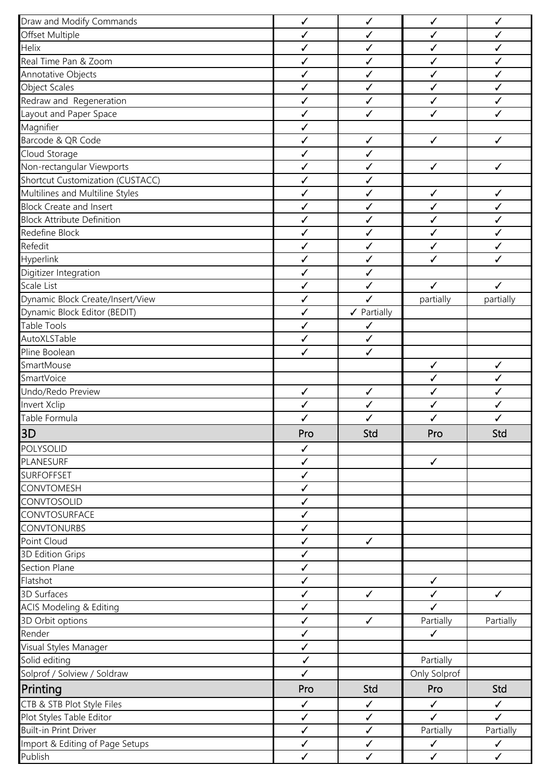| Draw and Modify Commands           | $\checkmark$ | $\checkmark$           | $\checkmark$ | $\checkmark$ |
|------------------------------------|--------------|------------------------|--------------|--------------|
| Offset Multiple                    | √            | $\checkmark$           | $\checkmark$ | ✓            |
| Helix                              | $\checkmark$ | $\checkmark$           | $\checkmark$ | $\checkmark$ |
| Real Time Pan & Zoom               | $\checkmark$ | $\checkmark$           | ✓            | $\checkmark$ |
| Annotative Objects                 | $\checkmark$ | $\checkmark$           | $\checkmark$ | ✓            |
| <b>Object Scales</b>               | ✓            | $\checkmark$           | ✓            | ✓            |
| Redraw and Regeneration            | $\checkmark$ | $\checkmark$           | $\checkmark$ | $\checkmark$ |
| Layout and Paper Space             | $\checkmark$ | $\checkmark$           | $\checkmark$ | $\checkmark$ |
| Magnifier                          | ✓            |                        |              |              |
| Barcode & QR Code                  | ✓            | $\checkmark$           | $\checkmark$ | $\checkmark$ |
| Cloud Storage                      | ✓            | ✓                      |              |              |
| Non-rectangular Viewports          | ✓            | $\checkmark$           | $\checkmark$ | $\checkmark$ |
| Shortcut Customization (CUSTACC)   | $\checkmark$ | $\checkmark$           |              |              |
| Multilines and Multiline Styles    | $\checkmark$ | $\checkmark$           | $\checkmark$ | $\checkmark$ |
| <b>Block Create and Insert</b>     | $\checkmark$ | $\checkmark$           | $\checkmark$ | $\checkmark$ |
| <b>Block Attribute Definition</b>  | $\checkmark$ | $\checkmark$           | ✓            | ✓            |
| Redefine Block                     | √            | $\checkmark$           | $\checkmark$ | $\checkmark$ |
| Refedit                            | ✓            | $\checkmark$           | $\checkmark$ | $\checkmark$ |
| Hyperlink                          | ✓            | $\checkmark$           | ✓            | ✓            |
| Digitizer Integration              | $\checkmark$ | $\checkmark$           |              |              |
| Scale List                         | $\checkmark$ | $\checkmark$           | $\checkmark$ | $\checkmark$ |
| Dynamic Block Create/Insert/View   | ✓            | $\checkmark$           | partially    | partially    |
| Dynamic Block Editor (BEDIT)       | $\checkmark$ | $\checkmark$ Partially |              |              |
| <b>Table Tools</b>                 | $\checkmark$ | $\checkmark$           |              |              |
| AutoXLSTable                       | $\checkmark$ | $\checkmark$           |              |              |
| Pline Boolean                      | $\checkmark$ | $\checkmark$           |              |              |
| SmartMouse                         |              |                        | $\checkmark$ | ✓            |
| SmartVoice                         |              |                        | $\checkmark$ | $\checkmark$ |
| Undo/Redo Preview                  | $\checkmark$ | $\checkmark$           | $\checkmark$ | $\checkmark$ |
| Invert Xclip                       | ✓            | $\checkmark$           | ✓            | ✓            |
| Table Formula                      | ✓            | $\checkmark$           | ✓            | ✓            |
| 3D                                 | Pro          | Std                    | Pro          | Std          |
| POLYSOLID                          | $\checkmark$ |                        |              |              |
| PLANESURF                          | $\checkmark$ |                        | $\checkmark$ |              |
| <b>SURFOFFSET</b>                  | $\checkmark$ |                        |              |              |
| <b>CONVTOMESH</b>                  | $\checkmark$ |                        |              |              |
| CONVTOSOLID                        | $\checkmark$ |                        |              |              |
| CONVTOSURFACE                      | $\checkmark$ |                        |              |              |
| <b>CONVTONURBS</b>                 | $\checkmark$ |                        |              |              |
| Point Cloud                        | $\checkmark$ | $\checkmark$           |              |              |
| 3D Edition Grips                   | $\checkmark$ |                        |              |              |
| Section Plane                      | $\checkmark$ |                        |              |              |
| Flatshot                           | $\checkmark$ |                        | $\checkmark$ |              |
| 3D Surfaces                        | $\checkmark$ | $\checkmark$           | $\checkmark$ | $\checkmark$ |
| <b>ACIS Modeling &amp; Editing</b> | $\checkmark$ |                        | $\checkmark$ |              |
| 3D Orbit options                   | $\checkmark$ | $\checkmark$           | Partially    | Partially    |
| Render                             | $\checkmark$ |                        | $\checkmark$ |              |
| Visual Styles Manager              | $\checkmark$ |                        |              |              |
| Solid editing                      | $\checkmark$ |                        | Partially    |              |
| Solprof / Solview / Soldraw        | $\checkmark$ |                        | Only Solprof |              |
| Printing                           | Pro          | Std                    | Pro          | Std          |
| CTB & STB Plot Style Files         | $\checkmark$ | $\checkmark$           | $\checkmark$ | $\checkmark$ |
| Plot Styles Table Editor           | $\checkmark$ | $\checkmark$           | $\checkmark$ | $\checkmark$ |
| <b>Built-in Print Driver</b>       | $\checkmark$ | $\checkmark$           | Partially    | Partially    |
| Import & Editing of Page Setups    | $\checkmark$ | $\checkmark$           | $\checkmark$ | $\checkmark$ |
| Publish                            | $\checkmark$ | $\checkmark$           | $\checkmark$ | $\checkmark$ |